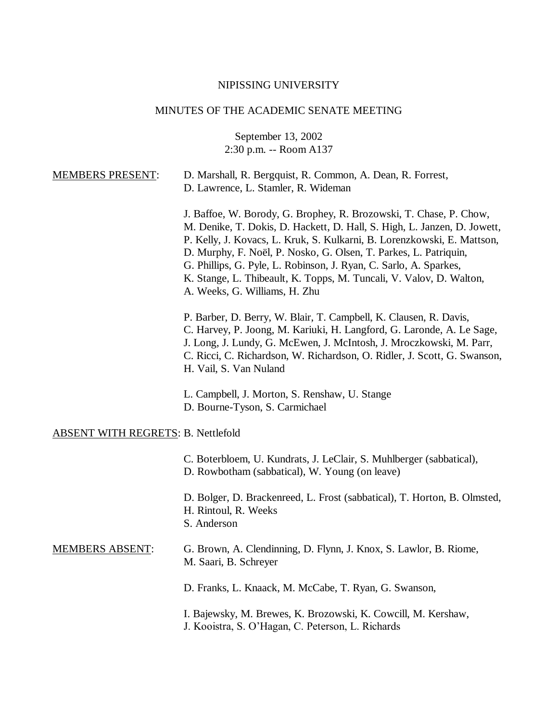## NIPISSING UNIVERSITY

## MINUTES OF THE ACADEMIC SENATE MEETING

September 13, 2002 2:30 p.m. -- Room A137

| <b>MEMBERS PRESENT:</b>                   | D. Marshall, R. Bergquist, R. Common, A. Dean, R. Forrest,<br>D. Lawrence, L. Stamler, R. Wideman                                                                                                                                                                                                                                                                                                                                                                          |
|-------------------------------------------|----------------------------------------------------------------------------------------------------------------------------------------------------------------------------------------------------------------------------------------------------------------------------------------------------------------------------------------------------------------------------------------------------------------------------------------------------------------------------|
|                                           | J. Baffoe, W. Borody, G. Brophey, R. Brozowski, T. Chase, P. Chow,<br>M. Denike, T. Dokis, D. Hackett, D. Hall, S. High, L. Janzen, D. Jowett,<br>P. Kelly, J. Kovacs, L. Kruk, S. Kulkarni, B. Lorenzkowski, E. Mattson,<br>D. Murphy, F. Noël, P. Nosko, G. Olsen, T. Parkes, L. Patriquin,<br>G. Phillips, G. Pyle, L. Robinson, J. Ryan, C. Sarlo, A. Sparkes,<br>K. Stange, L. Thibeault, K. Topps, M. Tuncali, V. Valov, D. Walton,<br>A. Weeks, G. Williams, H. Zhu |
|                                           | P. Barber, D. Berry, W. Blair, T. Campbell, K. Clausen, R. Davis,<br>C. Harvey, P. Joong, M. Kariuki, H. Langford, G. Laronde, A. Le Sage,<br>J. Long, J. Lundy, G. McEwen, J. McIntosh, J. Mroczkowski, M. Parr,<br>C. Ricci, C. Richardson, W. Richardson, O. Ridler, J. Scott, G. Swanson,<br>H. Vail, S. Van Nuland                                                                                                                                                    |
|                                           | L. Campbell, J. Morton, S. Renshaw, U. Stange<br>D. Bourne-Tyson, S. Carmichael                                                                                                                                                                                                                                                                                                                                                                                            |
| <b>ABSENT WITH REGRETS: B. Nettlefold</b> |                                                                                                                                                                                                                                                                                                                                                                                                                                                                            |
|                                           | C. Boterbloem, U. Kundrats, J. LeClair, S. Muhlberger (sabbatical),<br>D. Rowbotham (sabbatical), W. Young (on leave)                                                                                                                                                                                                                                                                                                                                                      |
|                                           | D. Bolger, D. Brackenreed, L. Frost (sabbatical), T. Horton, B. Olmsted,<br>H. Rintoul, R. Weeks<br>S. Anderson                                                                                                                                                                                                                                                                                                                                                            |
| <b>MEMBERS ABSENT:</b>                    | G. Brown, A. Clendinning, D. Flynn, J. Knox, S. Lawlor, B. Riome,<br>M. Saari, B. Schreyer                                                                                                                                                                                                                                                                                                                                                                                 |
|                                           | D. Franks, L. Knaack, M. McCabe, T. Ryan, G. Swanson,                                                                                                                                                                                                                                                                                                                                                                                                                      |
|                                           | I. Bajewsky, M. Brewes, K. Brozowski, K. Cowcill, M. Kershaw,<br>J. Kooistra, S. O'Hagan, C. Peterson, L. Richards                                                                                                                                                                                                                                                                                                                                                         |
|                                           |                                                                                                                                                                                                                                                                                                                                                                                                                                                                            |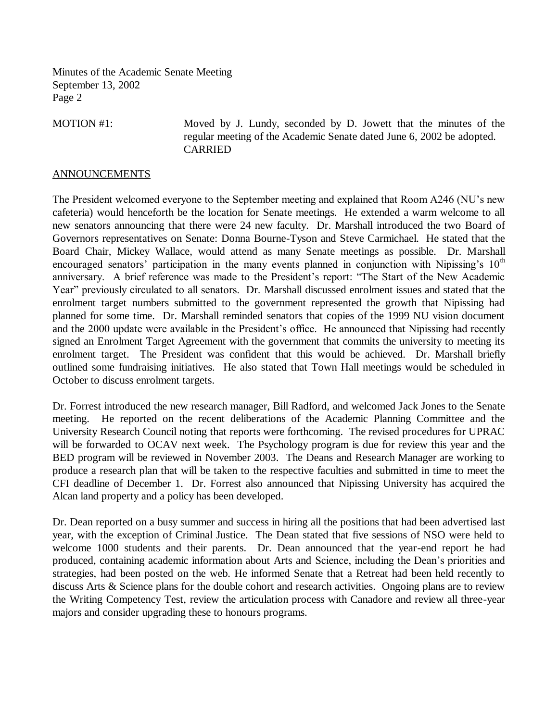MOTION #1: Moved by J. Lundy, seconded by D. Jowett that the minutes of the regular meeting of the Academic Senate dated June 6, 2002 be adopted. CARRIED

## **ANNOUNCEMENTS**

The President welcomed everyone to the September meeting and explained that Room A246 (NU's new cafeteria) would henceforth be the location for Senate meetings. He extended a warm welcome to all new senators announcing that there were 24 new faculty. Dr. Marshall introduced the two Board of Governors representatives on Senate: Donna Bourne-Tyson and Steve Carmichael. He stated that the Board Chair, Mickey Wallace, would attend as many Senate meetings as possible. Dr. Marshall encouraged senators' participation in the many events planned in conjunction with Nipissing's  $10<sup>th</sup>$ anniversary. A brief reference was made to the President's report: "The Start of the New Academic Year" previously circulated to all senators. Dr. Marshall discussed enrolment issues and stated that the enrolment target numbers submitted to the government represented the growth that Nipissing had planned for some time. Dr. Marshall reminded senators that copies of the 1999 NU vision document and the 2000 update were available in the President's office. He announced that Nipissing had recently signed an Enrolment Target Agreement with the government that commits the university to meeting its enrolment target. The President was confident that this would be achieved. Dr. Marshall briefly outlined some fundraising initiatives. He also stated that Town Hall meetings would be scheduled in October to discuss enrolment targets.

Dr. Forrest introduced the new research manager, Bill Radford, and welcomed Jack Jones to the Senate meeting. He reported on the recent deliberations of the Academic Planning Committee and the University Research Council noting that reports were forthcoming. The revised procedures for UPRAC will be forwarded to OCAV next week. The Psychology program is due for review this year and the BED program will be reviewed in November 2003. The Deans and Research Manager are working to produce a research plan that will be taken to the respective faculties and submitted in time to meet the CFI deadline of December 1. Dr. Forrest also announced that Nipissing University has acquired the Alcan land property and a policy has been developed.

Dr. Dean reported on a busy summer and success in hiring all the positions that had been advertised last year, with the exception of Criminal Justice. The Dean stated that five sessions of NSO were held to welcome 1000 students and their parents. Dr. Dean announced that the year-end report he had produced, containing academic information about Arts and Science, including the Dean's priorities and strategies, had been posted on the web. He informed Senate that a Retreat had been held recently to discuss Arts & Science plans for the double cohort and research activities. Ongoing plans are to review the Writing Competency Test, review the articulation process with Canadore and review all three-year majors and consider upgrading these to honours programs.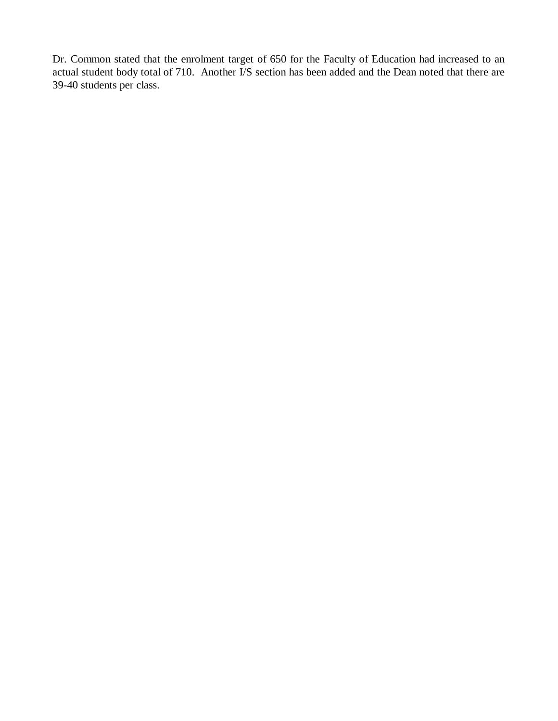Dr. Common stated that the enrolment target of 650 for the Faculty of Education had increased to an actual student body total of 710. Another I/S section has been added and the Dean noted that there are 39-40 students per class.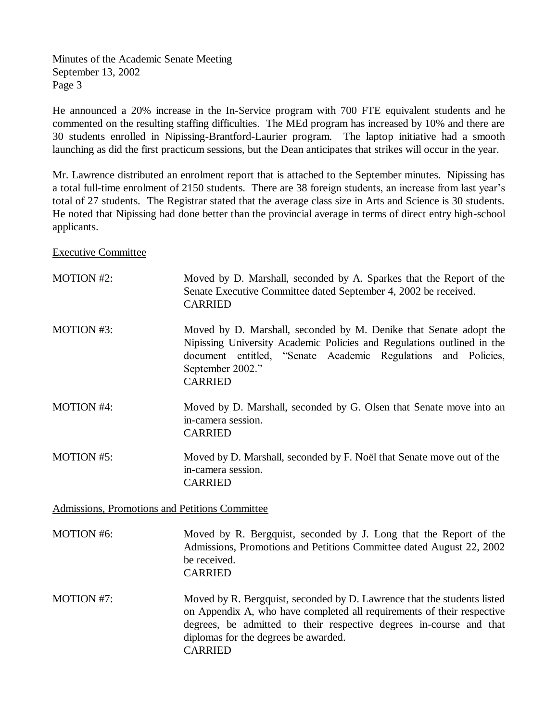He announced a 20% increase in the In-Service program with 700 FTE equivalent students and he commented on the resulting staffing difficulties. The MEd program has increased by 10% and there are 30 students enrolled in Nipissing-Brantford-Laurier program. The laptop initiative had a smooth launching as did the first practicum sessions, but the Dean anticipates that strikes will occur in the year.

Mr. Lawrence distributed an enrolment report that is attached to the September minutes. Nipissing has a total full-time enrolment of 2150 students. There are 38 foreign students, an increase from last year's total of 27 students. The Registrar stated that the average class size in Arts and Science is 30 students. He noted that Nipissing had done better than the provincial average in terms of direct entry high-school applicants.

Executive Committee

| <b>MOTION #2:</b> | Moved by D. Marshall, seconded by A. Sparkes that the Report of the<br>Senate Executive Committee dated September 4, 2002 be received.<br><b>CARRIED</b>                                                                                                         |
|-------------------|------------------------------------------------------------------------------------------------------------------------------------------------------------------------------------------------------------------------------------------------------------------|
| <b>MOTION #3:</b> | Moved by D. Marshall, seconded by M. Denike that Senate adopt the<br>Nipissing University Academic Policies and Regulations outlined in the<br>document entitled, "Senate Academic Regulations and Policies,<br>September 2002."<br><b>CARRIED</b>               |
| <b>MOTION #4:</b> | Moved by D. Marshall, seconded by G. Olsen that Senate move into an<br>in-camera session.<br><b>CARRIED</b>                                                                                                                                                      |
| <b>MOTION #5:</b> | Moved by D. Marshall, seconded by F. Noël that Senate move out of the<br>in-camera session.<br><b>CARRIED</b>                                                                                                                                                    |
|                   | Admissions, Promotions and Petitions Committee                                                                                                                                                                                                                   |
| <b>MOTION #6:</b> | Moved by R. Bergquist, seconded by J. Long that the Report of the<br>Admissions, Promotions and Petitions Committee dated August 22, 2002<br>be received.<br><b>CARRIED</b>                                                                                      |
| MOTION #7:        | Moved by R. Bergquist, seconded by D. Lawrence that the students listed<br>on Appendix A, who have completed all requirements of their respective<br>degrees, be admitted to their respective degrees in-course and that<br>diplomas for the degrees be awarded. |

CARRIED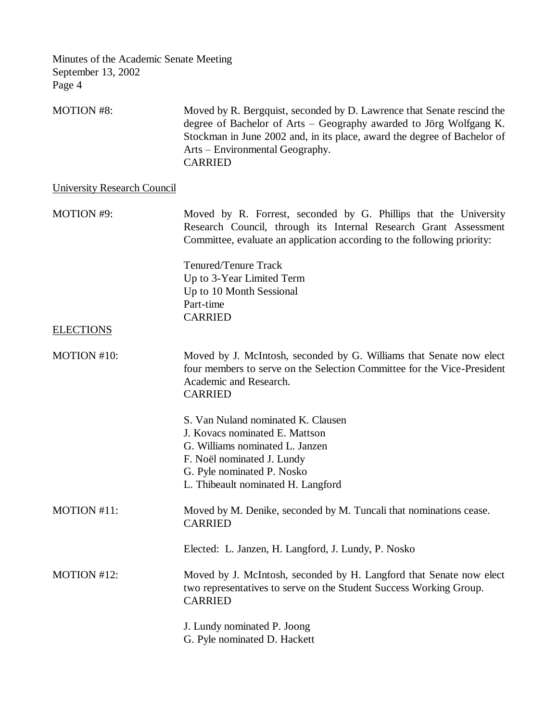MOTION #8: Moved by R. Bergquist, seconded by D. Lawrence that Senate rescind the degree of Bachelor of Arts – Geography awarded to Jörg Wolfgang K. Stockman in June 2002 and, in its place, award the degree of Bachelor of Arts – Environmental Geography. CARRIED

University Research Council

MOTION #9: Moved by R. Forrest, seconded by G. Phillips that the University Research Council, through its Internal Research Grant Assessment Committee, evaluate an application according to the following priority:

> Tenured/Tenure Track Up to 3-Year Limited Term Up to 10 Month Sessional Part-time CARRIED

## **ELECTIONS**

- MOTION #10: Moved by J. McIntosh, seconded by G. Williams that Senate now elect four members to serve on the Selection Committee for the Vice-President Academic and Research. CARRIED
- S. Van Nuland nominated K. Clausen J. Kovacs nominated E. Mattson G. Williams nominated L. Janzen F. Noël nominated J. Lundy G. Pyle nominated P. Nosko L. Thibeault nominated H. Langford MOTION #11: Moved by M. Denike, seconded by M. Tuncali that nominations cease. CARRIED Elected: L. Janzen, H. Langford, J. Lundy, P. Nosko MOTION #12: Moved by J. McIntosh, seconded by H. Langford that Senate now elect two representatives to serve on the Student Success Working Group. CARRIED J. Lundy nominated P. Joong
	- G. Pyle nominated D. Hackett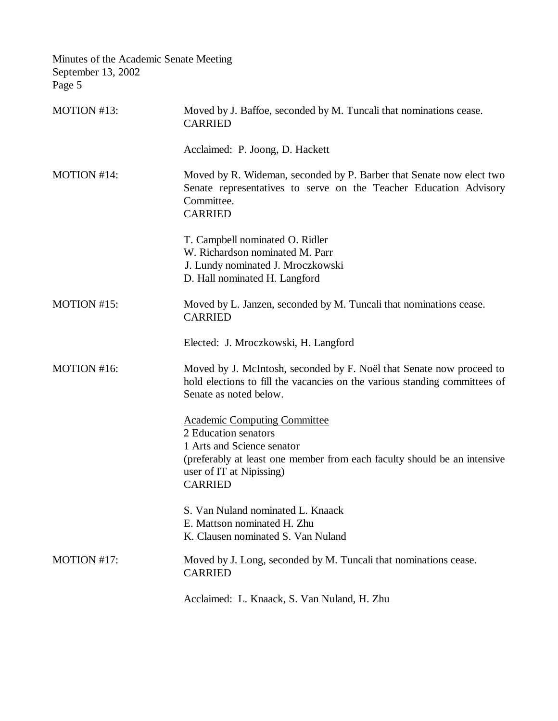| Minutes of the Academic Senate Meeting<br>September 13, 2002<br>Page 5 |                                                                                                                                                                              |
|------------------------------------------------------------------------|------------------------------------------------------------------------------------------------------------------------------------------------------------------------------|
| MOTION #13:                                                            | Moved by J. Baffoe, seconded by M. Tuncali that nominations cease.<br><b>CARRIED</b>                                                                                         |
|                                                                        | Acclaimed: P. Joong, D. Hackett                                                                                                                                              |
| MOTION #14:                                                            | Moved by R. Wideman, seconded by P. Barber that Senate now elect two<br>Senate representatives to serve on the Teacher Education Advisory<br>Committee.<br><b>CARRIED</b>    |
|                                                                        | T. Campbell nominated O. Ridler<br>W. Richardson nominated M. Parr<br>J. Lundy nominated J. Mroczkowski<br>D. Hall nominated H. Langford                                     |
| MOTION #15:                                                            | Moved by L. Janzen, seconded by M. Tuncali that nominations cease.<br><b>CARRIED</b>                                                                                         |
|                                                                        | Elected: J. Mroczkowski, H. Langford                                                                                                                                         |
| MOTION #16:                                                            | Moved by J. McIntosh, seconded by F. Noël that Senate now proceed to<br>hold elections to fill the vacancies on the various standing committees of<br>Senate as noted below. |
|                                                                        | <b>Academic Computing Committee</b><br>2 Education senators                                                                                                                  |
|                                                                        | 1 Arts and Science senator<br>(preferably at least one member from each faculty should be an intensive<br>user of IT at Nipissing)<br><b>CARRIED</b>                         |
|                                                                        | S. Van Nuland nominated L. Knaack<br>E. Mattson nominated H. Zhu<br>K. Clausen nominated S. Van Nuland                                                                       |
| MOTION #17:                                                            | Moved by J. Long, seconded by M. Tuncali that nominations cease.<br><b>CARRIED</b>                                                                                           |
|                                                                        | Acclaimed: L. Knaack, S. Van Nuland, H. Zhu                                                                                                                                  |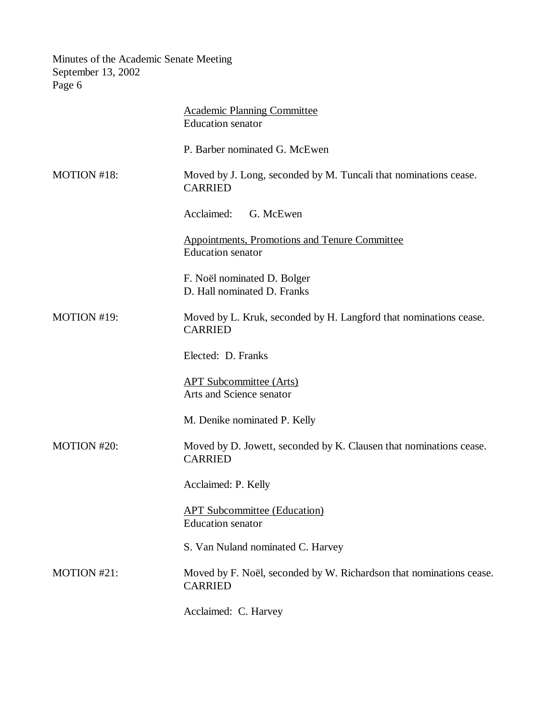|             | <b>Academic Planning Committee</b><br><b>Education</b> senator                        |
|-------------|---------------------------------------------------------------------------------------|
|             | P. Barber nominated G. McEwen                                                         |
| MOTION #18: | Moved by J. Long, seconded by M. Tuncali that nominations cease.<br><b>CARRIED</b>    |
|             | Acclaimed:<br>G. McEwen                                                               |
|             | <b>Appointments, Promotions and Tenure Committee</b><br><b>Education</b> senator      |
|             | F. Noël nominated D. Bolger<br>D. Hall nominated D. Franks                            |
| MOTION #19: | Moved by L. Kruk, seconded by H. Langford that nominations cease.<br><b>CARRIED</b>   |
|             | Elected: D. Franks                                                                    |
|             | <b>APT Subcommittee (Arts)</b><br>Arts and Science senator                            |
|             | M. Denike nominated P. Kelly                                                          |
| MOTION #20: | Moved by D. Jowett, seconded by K. Clausen that nominations cease.<br><b>CARRIED</b>  |
|             | Acclaimed: P. Kelly                                                                   |
|             | <b>APT Subcommittee (Education)</b><br><b>Education</b> senator                       |
|             | S. Van Nuland nominated C. Harvey                                                     |
| MOTION #21: | Moved by F. Noël, seconded by W. Richardson that nominations cease.<br><b>CARRIED</b> |
|             | Acclaimed: C. Harvey                                                                  |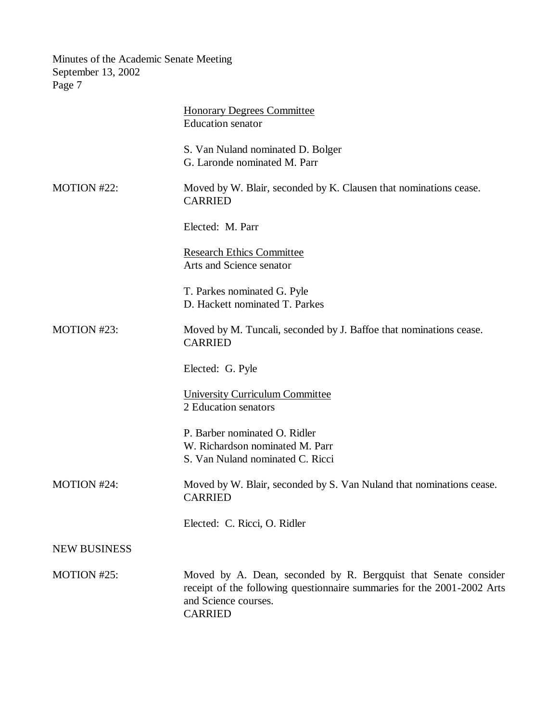|                     | <b>Honorary Degrees Committee</b><br><b>Education</b> senator                                                                                                                        |
|---------------------|--------------------------------------------------------------------------------------------------------------------------------------------------------------------------------------|
|                     | S. Van Nuland nominated D. Bolger<br>G. Laronde nominated M. Parr                                                                                                                    |
| MOTION #22:         | Moved by W. Blair, seconded by K. Clausen that nominations cease.<br><b>CARRIED</b>                                                                                                  |
|                     | Elected: M. Parr                                                                                                                                                                     |
|                     | <b>Research Ethics Committee</b><br>Arts and Science senator                                                                                                                         |
|                     | T. Parkes nominated G. Pyle<br>D. Hackett nominated T. Parkes                                                                                                                        |
| MOTION #23:         | Moved by M. Tuncali, seconded by J. Baffoe that nominations cease.<br><b>CARRIED</b>                                                                                                 |
|                     | Elected: G. Pyle                                                                                                                                                                     |
|                     | <b>University Curriculum Committee</b><br>2 Education senators                                                                                                                       |
|                     | P. Barber nominated O. Ridler<br>W. Richardson nominated M. Parr<br>S. Van Nuland nominated C. Ricci                                                                                 |
| MOTION #24:         | Moved by W. Blair, seconded by S. Van Nuland that nominations cease.<br><b>CARRIED</b>                                                                                               |
|                     | Elected: C. Ricci, O. Ridler                                                                                                                                                         |
| <b>NEW BUSINESS</b> |                                                                                                                                                                                      |
| MOTION #25:         | Moved by A. Dean, seconded by R. Bergquist that Senate consider<br>receipt of the following questionnaire summaries for the 2001-2002 Arts<br>and Science courses.<br><b>CARRIED</b> |